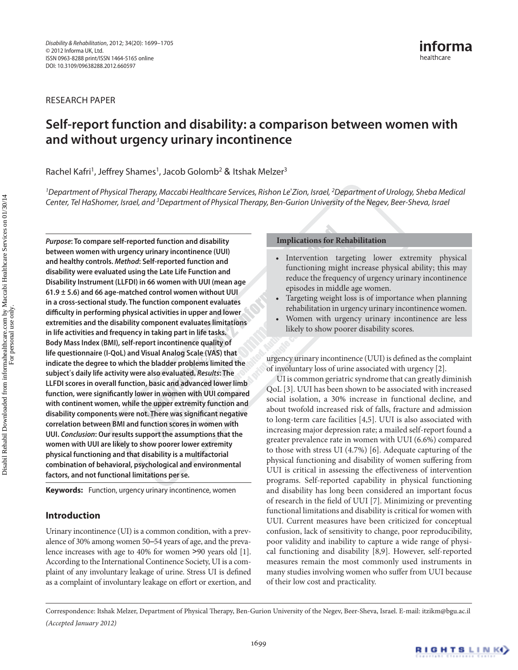Research Paper

# **Self-report function and disability: a comparison between women with and without urgency urinary incontinence**

Rachel Kafri<sup>1</sup>, Jeffrey Shames<sup>1</sup>, Jacob Golomb<sup>2</sup> & Itshak Melzer<sup>3</sup>

*1 Department of Physical Therapy, Maccabi Healthcare Services, Rishon Le*'*Zion, Israel, 2 Department of Urology, Sheba Medical*  Center, Tel HaShomer, Israel, and <sup>3</sup>Department of Physical Therapy, Ben-Gurion University of the Negev, Beer-Sheva, Israel

*Purpose***: To compare self-reported function and disability between women with urgency urinary incontinence (UUI) and healthy controls.** *Method***: Self-reported function and disability were evaluated using the Late Life Function and Disability Instrument (LLFDI) in 66 women with UUI (mean age 61.9** ± **5.6) and 66 age-matched control women without UUI in a cross-sectional study. The function component evaluates difficulty in performing physical activities in upper and lower extremities and the disability component evaluates limitations in life activities and frequency in taking part in life tasks. Body Mass Index (BMI), self-report incontinence quality of life questionnaire (I-QoL) and Visual Analog Scale (VAS) that indicate the degree to which the bladder problems limited the subject**'**s daily life activity were also evaluated.** *Results***: The LLFDI scores in overall function, basic and advanced lower limb function, were significantly lower in women with UUI compared with continent women, while the upper extremity function and disability components were not. There was significant negative correlation between BMI and function scores in women with UUI.** *Conclusion***: Our results support the assumptions that the women with UUI are likely to show poorer lower extremity physical functioning and that disability is a multifactorial combination of behavioral, psychological and environmental factors, and not functional limitations per se.**

**Keywords:** Function, urgency urinary incontinence, women

# **Introduction**

Urinary incontinence (UI) is a common condition, with a prevalence of 30% among women 50–54 years of age, and the prevalence increases with age to 40% for women >90 years old [1]. According to the International Continence Society, UI is a complaint of any involuntary leakage of urine. Stress UI is defined as a complaint of involuntary leakage on effort or exertion, and

### **Implications for Rehabilitation**

- Intervention targeting lower extremity physical functioning might increase physical ability; this may reduce the frequency of urgency urinary incontinence episodes in middle age women.
- Targeting weight loss is of importance when planning rehabilitation in urgency urinary incontinence women.
- Women with urgency urinary incontinence are less likely to show poorer disability scores.

urgency urinary incontinence (UUI) is defined as the complaint of involuntary loss of urine associated with urgency [2].

UI is common geriatric syndrome that can greatly diminish QoL [3]. UUI has been shown to be associated with increased social isolation, a 30% increase in functional decline, and about twofold increased risk of falls, fracture and admission to long-term care facilities [4,5]. UUI is also associated with increasing major depression rate; a mailed self-report found a greater prevalence rate in women with UUI (6.6%) compared to those with stress UI (4.7%) [6]. Adequate capturing of the physical functioning and disability of women suffering from UUI is critical in assessing the effectiveness of intervention programs. Self-reported capability in physical functioning and disability has long been considered an important focus of research in the field of UUI [7]. Minimizing or preventing functional limitations and disability is critical for women with UUI. Current measures have been criticized for conceptual confusion, lack of sensitivity to change, poor reproducibility, poor validity and inability to capture a wide range of physical functioning and disability [8,9]. However, self-reported measures remain the most commonly used instruments in many studies involving women who suffer from UUI because of their low cost and practicality.

Correspondence: Itshak Melzer, Department of Physical Therapy, Ben-Gurion University of the Negev, Beer-Sheva, Israel. E-mail: [itzikm@bgu.ac.il](mailto:itzikm@bgu.ac.il) *(Accepted January 2012)*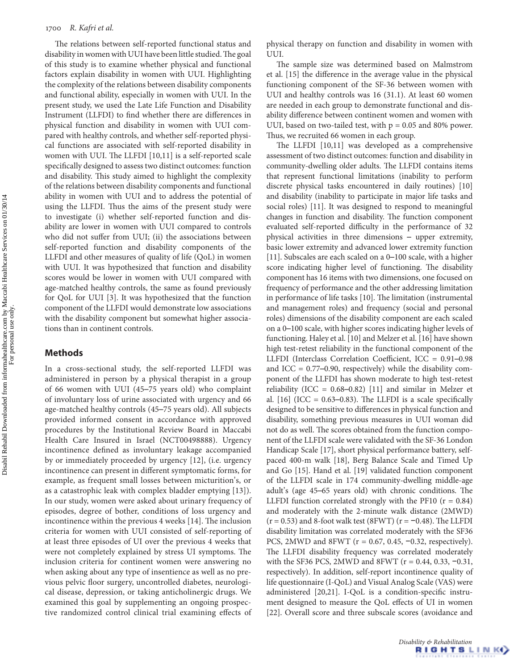The relations between self-reported functional status and disability in women with UUI have been little studied. The goal of this study is to examine whether physical and functional factors explain disability in women with UUI. Highlighting the complexity of the relations between disability components and functional ability, especially in women with UUI. In the present study, we used the Late Life Function and Disability Instrument (LLFDI) to find whether there are differences in physical function and disability in women with UUI compared with healthy controls, and whether self-reported physical functions are associated with self-reported disability in women with UUI. The LLFDI [10,11] is a self-reported scale specifically designed to assess two distinct outcomes: function and disability. This study aimed to highlight the complexity of the relations between disability components and functional ability in women with UUI and to address the potential of using the LLFDI. Thus the aims of the present study were to investigate (i) whether self-reported function and disability are lower in women with UUI compared to controls who did not suffer from UUI; (ii) the associations between self-reported function and disability components of the LLFDI and other measures of quality of life (QoL) in women with UUI. It was hypothesized that function and disability scores would be lower in women with UUI compared with age-matched healthy controls, the same as found previously for QoL for UUI [3]. It was hypothesized that the function component of the LLFDI would demonstrate low associations with the disability component but somewhat higher associations than in continent controls.

## **Methods**

In a cross-sectional study, the self-reported LLFDI was administered in person by a physical therapist in a group of 66 women with UUI (45–75 years old) who complaint of involuntary loss of urine associated with urgency and 66 age-matched healthy controls (45–75 years old). All subjects provided informed consent in accordance with approved procedures by the Institutional Review Board in Maccabi Health Care Insured in Israel (NCT00498888). Urgency incontinence defined as involuntary leakage accompanied by or immediately proceeded by urgency [12], (i.e. urgency incontinence can present in different symptomatic forms, for example, as frequent small losses between micturition's, or as a catastrophic leak with complex bladder emptying [13]). In our study, women were asked about urinary frequency of episodes, degree of bother, conditions of loss urgency and incontinence within the previous 4 weeks [14]. The inclusion criteria for women with UUI consisted of self-reporting of at least three episodes of UI over the previous 4 weeks that were not completely explained by stress UI symptoms. The inclusion criteria for continent women were answering no when asking about any type of insentience as well as no previous pelvic floor surgery, uncontrolled diabetes, neurological disease, depression, or taking anticholinergic drugs. We examined this goal by supplementing an ongoing prospective randomized control clinical trial examining effects of physical therapy on function and disability in women with UUI.

The sample size was determined based on Malmstrom et al. [15] the difference in the average value in the physical functioning component of the SF-36 between women with UUI and healthy controls was 16 (31.1). At least 60 women are needed in each group to demonstrate functional and disability difference between continent women and women with UUI, based on two-tailed test, with  $p = 0.05$  and 80% power. Thus, we recruited 66 women in each group.

The LLFDI [10,11] was developed as a comprehensive assessment of two distinct outcomes: function and disability in community-dwelling older adults. The LLFDI contains items that represent functional limitations (inability to perform discrete physical tasks encountered in daily routines) [10] and disability (inability to participate in major life tasks and social roles) [11]. It was designed to respond to meaningful changes in function and disability. The function component evaluated self-reported difficulty in the performance of 32 physical activities in three dimensions – upper extremity, basic lower extremity and advanced lower extremity function [11]. Subscales are each scaled on a 0–100 scale, with a higher score indicating higher level of functioning. The disability component has 16 items with two dimensions, one focused on frequency of performance and the other addressing limitation in performance of life tasks [10]. The limitation (instrumental and management roles) and frequency (social and personal roles) dimensions of the disability component are each scaled on a 0–100 scale, with higher scores indicating higher levels of functioning. Haley et al. [10] and Melzer et al. [16] have shown high test-retest reliability in the functional component of the LLFDI (Interclass Correlation Coefficient, ICC = 0.91–0.98 and ICC = 0.77–0.90, respectively) while the disability component of the LLFDI has shown moderate to high test-retest reliability (ICC =  $0.68 - 0.82$ ) [11] and similar in Melzer et al.  $[16]$  (ICC = 0.63–0.83). The LLFDI is a scale specifically designed to be sensitive to differences in physical function and disability, something previous measures in UUI woman did not do as well. The scores obtained from the function component of the LLFDI scale were validated with the SF-36 London Handicap Scale [17], short physical performance battery, selfpaced 400-m walk [18], Berg Balance Scale and Timed Up and Go [15]. Hand et al. [19] validated function component of the LLFDI scale in 174 community-dwelling middle-age adult's (age 45–65 years old) with chronic conditions. The LLFDI function correlated strongly with the PF10 ( $r = 0.84$ ) and moderately with the 2-minute walk distance (2MWD)  $(r = 0.53)$  and 8-foot walk test (8FWT)  $(r = -0.48)$ . The LLFDI disability limitation was correlated moderately with the SF36 PCS, 2MWD and 8FWT ( $r = 0.67, 0.45, -0.32$ , respectively). The LLFDI disability frequency was correlated moderately with the SF36 PCS, 2MWD and 8FWT ( $r = 0.44$ , 0.33, −0.31, respectively). In addition, self-report incontinence quality of life questionnaire (I-QoL) and Visual Analog Scale (VAS) were administered [20,21]. I-QoL is a condition-specific instrument designed to measure the QoL effects of UI in women [22]. Overall score and three subscale scores (avoidance and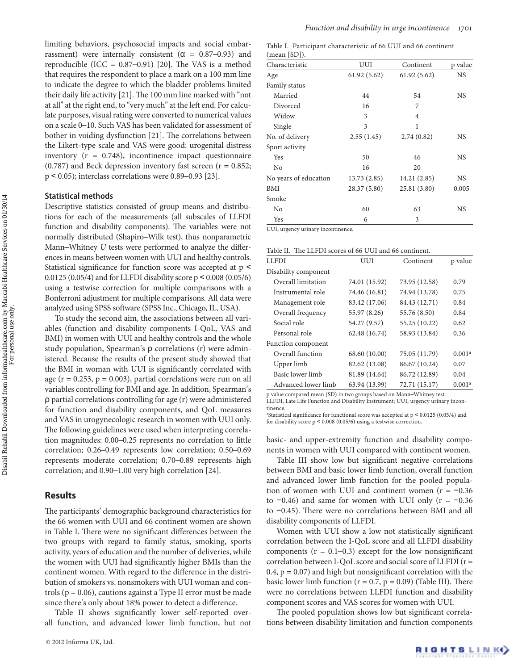limiting behaviors, psychosocial impacts and social embarrassment) were internally consistent  $(\alpha = 0.87 - 0.93)$  and reproducible  $(ICC = 0.87-0.91)$  [20]. The VAS is a method that requires the respondent to place a mark on a 100 mm line to indicate the degree to which the bladder problems limited their daily life activity [21]. The 100 mm line marked with "not at all" at the right end, to "very much" at the left end. For calculate purposes, visual rating were converted to numerical values on a scale 0–10. Such VAS has been validated for assessment of bother in voiding dysfunction [21]. The correlations between the Likert-type scale and VAS were good: urogenital distress inventory  $(r = 0.748)$ , incontinence impact questionnaire  $(0.787)$  and Beck depression inventory fast screen  $(r = 0.852;$ p < 0.05); interclass correlations were 0.89–0.93 [23].

#### **Statistical methods**

Descriptive statistics consisted of group means and distributions for each of the measurements (all subscales of LLFDI function and disability components). The variables were not normally distributed (Shapiro–Wilk test), thus nonparametric Mann–Whitney *U* tests were performed to analyze the differences in means between women with UUI and healthy controls. Statistical significance for function score was accepted at p < 0.0125 (0.05/4) and for LLFDI disability score p < 0.008 (0.05/6) using a testwise correction for multiple comparisons with a Bonferroni adjustment for multiple comparisons. All data were analyzed using SPSS software (SPSS Inc., Chicago, IL, USA).

To study the second aim, the associations between all variables (function and disability components I-QoL, VAS and BMI) in women with UUI and healthy controls and the whole study population, Spearman's ρ correlations (r) were administered. Because the results of the present study showed that the BMI in woman with UUI is significantly correlated with age ( $r = 0.253$ ,  $p = 0.003$ ), partial correlations were run on all variables controlling for BMI and age. In addition, Spearman's ρ partial correlations controlling for age (r) were administered for function and disability components, and QoL measures and VAS in urogynecologic research in women with UUI only. The following guidelines were used when interpreting correlation magnitudes: 0.00–0.25 represents no correlation to little correlation; 0.26–0.49 represents low correlation; 0.50–0.69 represents moderate correlation; 0.70–0.89 represents high correlation; and 0.90–1.00 very high correlation [24].

#### **Results**

The participants' demographic background characteristics for the 66 women with UUI and 66 continent women are shown in Table I. There were no significant differences between the two groups with regard to family status, smoking, sports activity, years of education and the number of deliveries, while the women with UUI had significantly higher BMIs than the continent women. With regard to the difference in the distribution of smokers vs. nonsmokers with UUI woman and controls ( $p = 0.06$ ), cautions against a Type II error must be made since there's only about 18% power to detect a difference.

Table II shows significantly lower self-reported overall function, and advanced lower limb function, but not

Table I. Participant characteristic of 66 UUI and 66 continent (mean [SD]).

| Characteristic        | UUI          | Continent      | p value   |
|-----------------------|--------------|----------------|-----------|
| Age                   | 61.92(5.62)  | 61.92(5.62)    | <b>NS</b> |
| Family status         |              |                |           |
| Married               | 44           | 54             | <b>NS</b> |
| Divorced              | 16           | 7              |           |
| Widow                 | 3            | $\overline{4}$ |           |
| Single                | 3            | 1              |           |
| No. of delivery       | 2.55(1.45)   | 2.74(0.82)     | <b>NS</b> |
| Sport activity        |              |                |           |
| Yes                   | 50           | 46             | <b>NS</b> |
| N <sub>0</sub>        | 16           | 20             |           |
| No years of education | 13.73(2.85)  | 14.21 (2.85)   | <b>NS</b> |
| BMI                   | 28.37 (5.80) | 25.81 (3.80)   | 0.005     |
| Smoke                 |              |                |           |
| N <sub>0</sub>        | 60           | 63             | <b>NS</b> |
| Yes                   | 6            | 3              |           |

UUI, urgency urinary incontinence.

| Table II.  The LLFDI scores of 66 UUI and 66 continent. |
|---------------------------------------------------------|
|---------------------------------------------------------|

| <b>LLFDI</b>         | UUI           | Continent     | p value            |
|----------------------|---------------|---------------|--------------------|
| Disability component |               |               |                    |
| Overall limitation   | 74.01 (15.92) | 73.95 (12.58) | 0.79               |
| Instrumental role    | 74.46 (16.81) | 74.94 (13.78) | 0.75               |
| Management role      | 83.42 (17.06) | 84.43 (12.71) | 0.84               |
| Overall frequency    | 55.97 (8.26)  | 55.76 (8.50)  | 0.84               |
| Social role          | 54.27 (9.57)  | 55.25 (10.22) | 0.62               |
| Personal role        | 62.48 (16.74) | 58.93 (13.84) | 0.36               |
| Function component   |               |               |                    |
| Overall function     | 68.60 (10.00) | 75.05 (11.79) | 0.001 <sup>a</sup> |
| Upper limb           | 82.62 (13.08) | 86.67 (10.24) | 0.07               |
| Basic lower limb     | 81.89 (14.64) | 86.72 (12.89) | 0.04               |
| Advanced lower limb  | 63.94 (13.99) | 72.71 (15.17) | 0.001 <sup>a</sup> |

p value compared mean (SD) in two groups based on Mann–Whitney test. LLFDI, Late Life Function and Disability Instrument; UUI, urgency urinary incontinence.

<sup>a</sup>Statistical significance for functional score was accepted at  $p < 0.0125$  (0.05/4) and for disability score p < 0.008 (0.05/6) using a testwise correction.

basic- and upper-extremity function and disability components in women with UUI compared with continent women.

Table III show low but significant negative correlations between BMI and basic lower limb function, overall function and advanced lower limb function for the pooled population of women with UUI and continent women ( $r = -0.36$ to  $-0.46$ ) and same for women with UUI only (r =  $-0.36$ ) to −0.45). There were no correlations between BMI and all disability components of LLFDI.

Women with UUI show a low not statistically significant correlation between the I-QoL score and all LLFDI disability components  $(r = 0.1 - 0.3)$  except for the low nonsignificant correlation between I-QoL score and social score of LLFDI (r = 0.4,  $p = 0.07$ ) and high but nonsignificant correlation with the basic lower limb function ( $r = 0.7$ ,  $p = 0.09$ ) (Table III). There were no correlations between LLFDI function and disability component scores and VAS scores for women with UUI.

The pooled population shows low but significant correlations between disability limitation and function components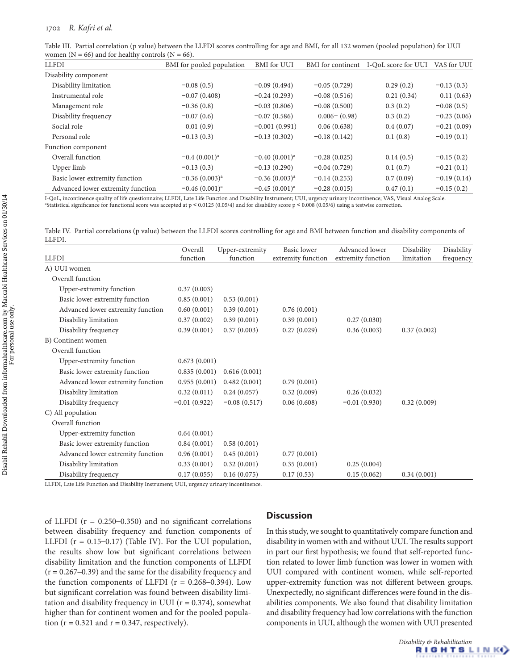| Table III. Partial correlation (p value) between the LLFDI scores controlling for age and BMI, for all 132 women (pooled population) for UUI |  |  |  |
|----------------------------------------------------------------------------------------------------------------------------------------------|--|--|--|
| women (N = 66) and for healthy controls (N = 66).                                                                                            |  |  |  |

| <b>LLFDI</b>                      | BMI for pooled population | <b>BMI</b> for UUI | BMI for continent | I-QoL score for UUI | VAS for UUI   |
|-----------------------------------|---------------------------|--------------------|-------------------|---------------------|---------------|
|                                   |                           |                    |                   |                     |               |
| Disability component              |                           |                    |                   |                     |               |
| Disability limitation             | $-0.08(0.5)$              | $-0.09(0.494)$     | $-0.05(0.729)$    | 0.29(0.2)           | $-0.13(0.3)$  |
| Instrumental role                 | $-0.07(0.408)$            | $-0.24(0.293)$     | $-0.08(0.516)$    | 0.21(0.34)          | 0.11(0.63)    |
| Management role                   | $-0.36(0.8)$              | $-0.03(0.806)$     | $-0.08(0.500)$    | 0.3(0.2)            | $-0.08(0.5)$  |
| Disability frequency              | $-0.07(0.6)$              | $-0.07(0.586)$     | $0.006 - (0.98)$  | 0.3(0.2)            | $-0.23(0.06)$ |
| Social role                       | 0.01(0.9)                 | $-0.001(0.991)$    | 0.06(0.638)       | 0.4(0.07)           | $-0.21(0.09)$ |
| Personal role                     | $-0.13(0.3)$              | $-0.13(0.302)$     | $-0.18(0.142)$    | 0.1(0.8)            | $-0.19(0.1)$  |
| Function component                |                           |                    |                   |                     |               |
| Overall function                  | $-0.4(0.001)^a$           | $-0.40(0.001)^a$   | $-0.28(0.025)$    | 0.14(0.5)           | $-0.15(0.2)$  |
| Upper limb                        | $-0.13(0.3)$              | $-0.13(0.290)$     | $-0.04(0.729)$    | 0.1(0.7)            | $-0.21(0.1)$  |
| Basic lower extremity function    | $-0.36(0.003)^{a}$        | $-0.36(0.003)^{a}$ | $-0.14(0.253)$    | 0.7(0.09)           | $-0.19(0.14)$ |
| Advanced lower extremity function | $-0.46(0.001)a$           | $-0.45(0.001)^a$   | $-0.28(0.015)$    | 0.47(0.1)           | $-0.15(0.2)$  |

I-QoL, incontinence quality of life questionnaire; LLFDI, Late Life Function and Disability Instrument; UUI, urgency urinary incontinence; VAS, Visual Analog Scale. a Statistical significance for functional score was accepted at p < 0.0125 (0.05/4) and for disability score p < 0.008 (0.05/6) using a testwise correction.

Table IV. Partial correlations (p value) between the LLFDI scores controlling for age and BMI between function and disability components of LLFDI.

|                                                                                                          | Overall        | Upper-extremity | <b>Basic</b> lower | Advanced lower     | Disability  | Disability |
|----------------------------------------------------------------------------------------------------------|----------------|-----------------|--------------------|--------------------|-------------|------------|
| <b>LLFDI</b>                                                                                             | function       | function        | extremity function | extremity function | limitation  | frequency  |
| A) UUI women                                                                                             |                |                 |                    |                    |             |            |
| Overall function                                                                                         |                |                 |                    |                    |             |            |
| Upper-extremity function                                                                                 | 0.37(0.003)    |                 |                    |                    |             |            |
| Basic lower extremity function                                                                           | 0.85(0.001)    | 0.53(0.001)     |                    |                    |             |            |
| Advanced lower extremity function                                                                        | 0.60(0.001)    | 0.39(0.001)     | 0.76(0.001)        |                    |             |            |
| Disability limitation                                                                                    | 0.37(0.002)    | 0.39(0.001)     | 0.39(0.001)        | 0.27(0.030)        |             |            |
| Disability frequency                                                                                     | 0.39(0.001)    | 0.37(0.003)     | 0.27(0.029)        | 0.36(0.003)        | 0.37(0.002) |            |
| B) Continent women                                                                                       |                |                 |                    |                    |             |            |
| Overall function                                                                                         |                |                 |                    |                    |             |            |
| Upper-extremity function                                                                                 | 0.673(0.001)   |                 |                    |                    |             |            |
| Basic lower extremity function                                                                           | 0.835(0.001)   | 0.616(0.001)    |                    |                    |             |            |
| Advanced lower extremity function                                                                        | 0.955(0.001)   | 0.482(0.001)    | 0.79(0.001)        |                    |             |            |
| Disability limitation                                                                                    | 0.32(0.011)    | 0.24(0.057)     | 0.32(0.009)        | 0.26(0.032)        |             |            |
| Disability frequency                                                                                     | $-0.01(0.922)$ | $-0.08(0.517)$  | 0.06(0.608)        | $-0.01(0.930)$     | 0.32(0.009) |            |
| C) All population                                                                                        |                |                 |                    |                    |             |            |
| Overall function                                                                                         |                |                 |                    |                    |             |            |
| Upper-extremity function                                                                                 | 0.64(0.001)    |                 |                    |                    |             |            |
| Basic lower extremity function                                                                           | 0.84(0.001)    | 0.58(0.001)     |                    |                    |             |            |
| Advanced lower extremity function                                                                        | 0.96(0.001)    | 0.45(0.001)     | 0.77(0.001)        |                    |             |            |
| Disability limitation                                                                                    | 0.33(0.001)    | 0.32(0.001)     | 0.35(0.001)        | 0.25(0.004)        |             |            |
| Disability frequency                                                                                     | 0.17(0.055)    | 0.16(0.075)     | 0.17(0.53)         | 0.15(0.062)        | 0.34(0.001) |            |
| <b>EX PINE TOGOT ! C. P. C. H. C.</b> G. J. TN C. L'Ile, T. General al TITTE concerta della contra contr |                |                 |                    |                    |             |            |

LLFDI, Late Life Function and Disability Instrument; UUI, urgency urinary incontinence.

of LLFDI ( $r = 0.250 - 0.350$ ) and no significant correlations between disability frequency and function components of LLFDI ( $r = 0.15 - 0.17$ ) (Table IV). For the UUI population, the results show low but significant correlations between disability limitation and the function components of LLFDI  $(r = 0.267 - 0.39)$  and the same for the disability frequency and the function components of LLFDI ( $r = 0.268 - 0.394$ ). Low but significant correlation was found between disability limitation and disability frequency in UUI ( $r = 0.374$ ), somewhat higher than for continent women and for the pooled population ( $r = 0.321$  and  $r = 0.347$ , respectively).

#### **Discussion**

In this study, we sought to quantitatively compare function and disability in women with and without UUI. The results support in part our first hypothesis; we found that self-reported function related to lower limb function was lower in women with UUI compared with continent women, while self-reported upper-extremity function was not different between groups. Unexpectedly, no significant differences were found in the disabilities components. We also found that disability limitation and disability frequency had low correlations with the function components in UUI, although the women with UUI presented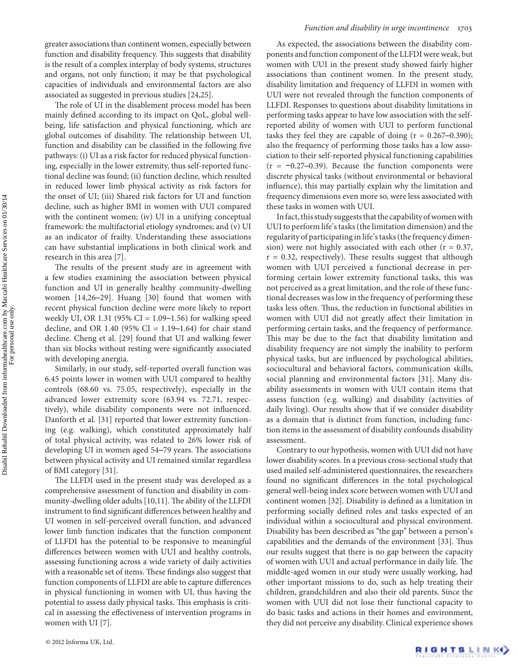greater associations than continent women, especially between function and disability frequency. This suggests that disability is the result of a complex interplay of body systems, structures and organs, not only function; it may be that psychological capacities of individuals and environmental factors are also associated as suggested in previous studies [24,25].

The role of UI in the disablement process model has been mainly defined according to its impact on QoL, global wellbeing, life satisfaction and physical functioning, which are global outcomes of disability. The relationship between UI, function and disability can be classified in the following five pathways: (i) UI as a risk factor for reduced physical functioning, especially in the lower extremity, thus self-reported functional decline was found; (ii) function decline, which resulted in reduced lower limb physical activity as risk factors for the onset of UI; (iii) Shared risk factors for UI and function decline, such as higher BMI in women with UUI compared with the continent women; (iv) UI in a unifying conceptual framework: the multifactorial etiology syndromes; and (v) UI as an indicator of frailty. Understanding these associations can have substantial implications in both clinical work and research in this area [7].

The results of the present study are in agreement with a few studies examining the association between physical function and UI in generally healthy community-dwelling women [14,26–29]. Huang [30] found that women with recent physical function decline were more likely to report weekly UI, OR 1.31 (95% CI = 1.09–1.56) for walking speed decline, and OR 1.40 (95% CI =  $1.19-1.64$ ) for chair stand decline. Cheng et al. [29] found that UI and walking fewer than six blocks without resting were significantly associated with developing anergia.

Similarly, in our study, self-reported overall function was 6.45 points lower in women with UUI compared to healthy controls (68.60 vs. 75.05, respectively), especially in the advanced lower extremity score (63.94 vs. 72.71, respectively), while disability components were not influenced. Danforth et al. [31] reported that lower extremity functioning (e.g. walking), which constituted approximately half of total physical activity, was related to 26% lower risk of developing UI in women aged 54–79 years. The associations between physical activity and UI remained similar regardless of BMI category [31].

The LLFDI used in the present study was developed as a comprehensive assessment of function and disability in community-dwelling older adults [10,11]. The ability of the LLFDI instrument to find significant differences between healthy and UI women in self-perceived overall function, and advanced lower limb function indicates that the function component of LLFDI has the potential to be responsive to meaningful differences between women with UUI and healthy controls, assessing functioning across a wide variety of daily activities with a reasonable set of items. These findings also suggest that function components of LLFDI are able to capture differences in physical functioning in women with UI, thus having the potential to assess daily physical tasks. This emphasis is critical in assessing the effectiveness of intervention programs in women with UI [7].

As expected, the associations between the disability components and function component of the LLFDI were weak, but women with UUI in the present study showed fairly higher associations than continent women. In the present study, disability limitation and frequency of LLFDI in women with UUI were not revealed through the function components of LLFDI. Responses to questions about disability limitations in performing tasks appear to have low association with the selfreported ability of women with UUI to perform functional tasks they feel they are capable of doing  $(r = 0.267 - 0.390)$ ; also the frequency of performing those tasks has a low association to their self-reported physical functioning capabilities (r = −0.27–0.39). Because the function components were discrete physical tasks (without environmental or behavioral influence), this may partially explain why the limitation and frequency dimensions even more so, were less associated with these tasks in women with UUI.

In fact, this study suggests that the capability of women with UUI to perform life's tasks (the limitation dimension) and the regularity of participating in life's tasks (the frequency dimension) were not highly associated with each other  $(r = 0.37,$  $r = 0.32$ , respectively). These results suggest that although women with UUI perceived a functional decrease in performing certain lower extremity functional tasks, this was not perceived as a great limitation, and the role of these functional decreases was low in the frequency of performing these tasks less often. Thus, the reduction in functional abilities in women with UUI did not greatly affect their limitation in performing certain tasks, and the frequency of performance. This may be due to the fact that disability limitation and disability frequency are not simply the inability to perform physical tasks, but are influenced by psychological abilities, sociocultural and behavioral factors, communication skills, social planning and environmental factors [31]. Many disability assessments in women with UUI contain items that assess function (e.g. walking) and disability (activities of daily living). Our results show that if we consider disability as a domain that is distinct from function, including function items in the assessment of disability confounds disability assessment.

Contrary to our hypothesis, women with UUI did not have lower disability scores. In a previous cross-sectional study that used mailed self-administered questionnaires, the researchers found no significant differences in the total psychological general well-being index score between women with UUI and continent women [32]. Disability is defined as a limitation in performing socially defined roles and tasks expected of an individual within a sociocultural and physical environment. Disability has been described as "the gap" between a person's capabilities and the demands of the environment [33]. Thus our results suggest that there is no gap between the capacity of women with UUI and actual performance in daily life. The middle-aged women in our study were usually working, had other important missions to do, such as help treating their children, grandchildren and also their old parents. Since the women with UUI did not lose their functional capacity to do basic tasks and actions in their homes and environment, they did not perceive any disability. Clinical experience shows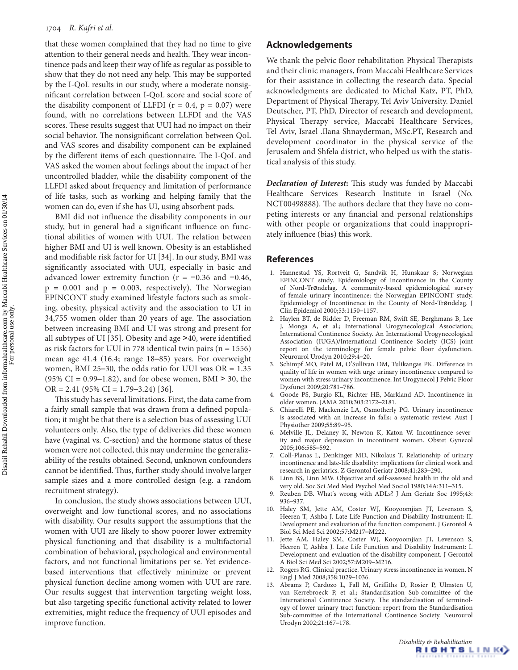that these women complained that they had no time to give attention to their general needs and health. They wear incontinence pads and keep their way of life as regular as possible to show that they do not need any help. This may be supported by the I-QoL results in our study, where a moderate nonsignificant correlation between I-QoL score and social score of the disability component of LLFDI ( $r = 0.4$ ,  $p = 0.07$ ) were found, with no correlations between LLFDI and the VAS scores. These results suggest that UUI had no impact on their social behavior. The nonsignificant correlation between QoL and VAS scores and disability component can be explained by the different items of each questionnaire. The I-QoL and VAS asked the women about feelings about the impact of her uncontrolled bladder, while the disability component of the LLFDI asked about frequency and limitation of performance of life tasks, such as working and helping family that the women can do, even if she has UI, using absorbent pads.

BMI did not influence the disability components in our study, but in general had a significant influence on functional abilities of women with UUI. The relation between higher BMI and UI is well known. Obesity is an established and modifiable risk factor for UI [34]. In our study, BMI was significantly associated with UUI, especially in basic and advanced lower extremity function (r = −0.36 and −0.46,  $p = 0.001$  and  $p = 0.003$ , respectively). The Norwegian EPINCONT study examined lifestyle factors such as smoking, obesity, physical activity and the association to UI in 34,755 women older than 20 years of age. The association between increasing BMI and UI was strong and present for all subtypes of UI [35]. Obesity and age >40, were identified as risk factors for UUI in 778 identical twin pairs (n = 1556) mean age 41.4 (16.4; range 18–85) years. For overweight women, BMI 25–30, the odds ratio for UUI was  $OR = 1.35$  $(95\% \text{ CI} = 0.99 - 1.82)$ , and for obese women, BMI > 30, the  $OR = 2.41 (95\% CI = 1.79 - 3.24) [36].$ 

This study has several limitations. First, the data came from a fairly small sample that was drawn from a defined population; it might be that there is a selection bias of assessing UUI volunteers only. Also, the type of deliveries did these women have (vaginal vs. C-section) and the hormone status of these women were not collected, this may undermine the generalizability of the results obtained. Second, unknown confounders cannot be identified. Thus, further study should involve larger sample sizes and a more controlled design (e.g. a random recruitment strategy).

In conclusion, the study shows associations between UUI, overweight and low functional scores, and no associations with disability. Our results support the assumptions that the women with UUI are likely to show poorer lower extremity physical functioning and that disability is a multifactorial combination of behavioral, psychological and environmental factors, and not functional limitations per se. Yet evidencebased interventions that effectively minimize or prevent physical function decline among women with UUI are rare. Our results suggest that intervention targeting weight loss, but also targeting specific functional activity related to lower extremities, might reduce the frequency of UUI episodes and improve function.

#### **Acknowledgements**

We thank the pelvic floor rehabilitation Physical Therapists and their clinic managers, from Maccabi Healthcare Services for their assistance in collecting the research data. Special acknowledgments are dedicated to Michal Katz, PT, PhD, Department of Physical Therapy, Tel Aviv University. Daniel Deutscher, PT, PhD, Director of research and development, Physical Therapy service, Maccabi Healthcare Services, Tel Aviv, Israel .Ilana Shnayderman, MSc.PT, Research and development coordinator in the physical service of the Jerusalem and Shfela district, who helped us with the statistical analysis of this study.

*Declaration of Interest***:** This study was funded by Maccabi Healthcare Services Research Institute in Israel (No. NCT00498888). The authors declare that they have no competing interests or any financial and personal relationships with other people or organizations that could inappropriately influence (bias) this work.

#### **References**

- 1. Hannestad YS, Rortveit G, Sandvik H, Hunskaar S; Norwegian EPINCONT study. Epidemiology of Incontinence in the County of Nord-Trøndelag. A community-based epidemiological survey of female urinary incontinence: the Norwegian EPINCONT study. Epidemiology of Incontinence in the County of Nord-Trøndelag. J Clin Epidemiol 2000;53:1150–1157.
- 2. Haylen BT, de Ridder D, Freeman RM, Swift SE, Berghmans B, Lee J, Monga A, et al.; International Urogynecological Association; International Continence Society. An International Urogynecological Association (IUGA)/International Continence Society (ICS) joint report on the terminology for female pelvic floor dysfunction. Neurourol Urodyn 2010;29:4–20.
- 3. Schimpf MO, Patel M, O'Sullivan DM, Tulikangas PK. Difference in quality of life in women with urge urinary incontinence compared to women with stress urinary incontinence. Int Urogynecol J Pelvic Floor Dysfunct 2009;20:781–786.
- 4. Goode PS, Burgio KL, Richter HE, Markland AD. Incontinence in older women. JAMA 2010;303:2172–2181.
- 5. Chiarelli PE, Mackenzie LA, Osmotherly PG. Urinary incontinence is associated with an increase in falls: a systematic review. Aust J Physiother 2009;55:89–95.
- 6. Melville JL, Delaney K, Newton K, Katon W. Incontinence severity and major depression in incontinent women. Obstet Gynecol 2005;106:585–592.
- 7. Coll-Planas L, Denkinger MD, Nikolaus T. Relationship of urinary incontinence and late-life disability: implications for clinical work and research in geriatrics. Z Gerontol Geriatr 2008;41:283–290.
- 8. Linn BS, Linn MW. Objective and self-assessed health in the old and very old. Soc Sci Med Med Psychol Med Sociol 1980;14A:311–315.
- Reuben DB. What's wrong with ADLs? J Am Geriatr Soc 1995;43: 936–937.
- 10. Haley SM, Jette AM, Coster WJ, Kooyoomjian JT, Levenson S, Heeren T, Ashba J. Late Life Function and Disability Instrument: II. Development and evaluation of the function component. J Gerontol A Biol Sci Med Sci 2002;57:M217–M222.
- 11. Jette AM, Haley SM, Coster WJ, Kooyoomjian JT, Levenson S, Heeren T, Ashba J. Late Life Function and Disability Instrument: I. Development and evaluation of the disability component. J Gerontol A Biol Sci Med Sci 2002;57:M209–M216.
- 12. Rogers RG. Clinical practice. Urinary stress incontinence in women. N Engl J Med 2008;358:1029–1036.
- 13. Abrams P, Cardozo L, Fall M, Griffiths D, Rosier P, Ulmsten U, van Kerrebroeck P, et al.; Standardisation Sub-committee of the International Continence Society. The standardisation of terminology of lower urinary tract function: report from the Standardisation Sub-committee of the International Continence Society. Neurourol Urodyn 2002;21:167–178.